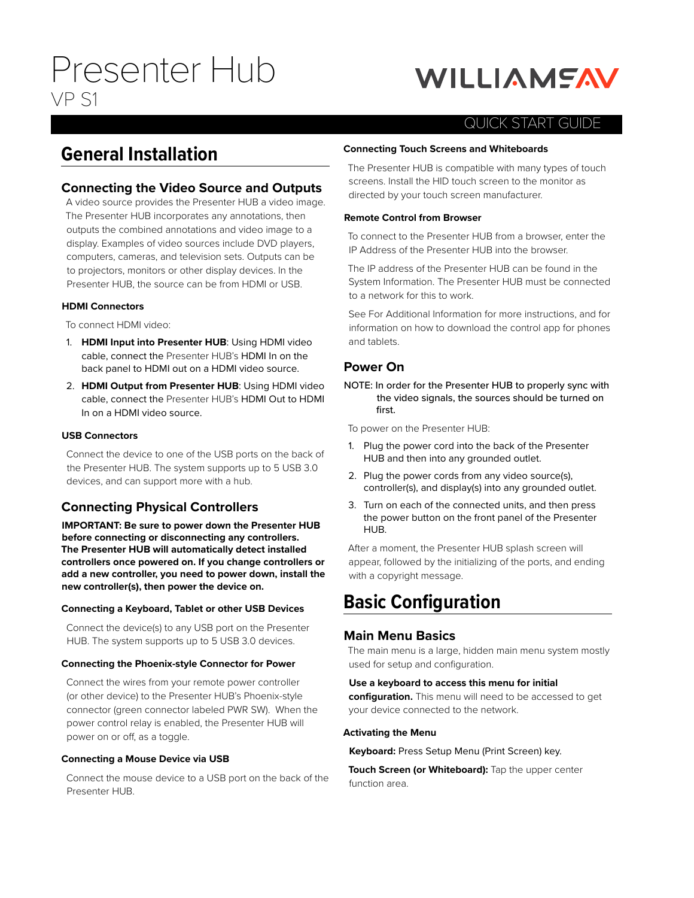# Presenter Hub VP S1

# **WILLIAMSAV**

# QUICK START GUIDE

# **General Installation**

# **Connecting the Video Source and Outputs**

A video source provides the Presenter HUB a video image. The Presenter HUB incorporates any annotations, then outputs the combined annotations and video image to a display. Examples of video sources include DVD players, computers, cameras, and television sets. Outputs can be to projectors, monitors or other display devices. In the Presenter HUB, the source can be from HDMI or USB.

### **HDMI Connectors**

To connect HDMI video:

- 1. **HDMI Input into Presenter HUB**: Using HDMI video cable, connect the Presenter HUB's HDMI In on the back panel to HDMI out on a HDMI video source.
- 2. **HDMI Output from Presenter HUB**: Using HDMI video cable, connect the Presenter HUB's HDMI Out to HDMI In on a HDMI video source.

### **USB Connectors**

Connect the device to one of the USB ports on the back of the Presenter HUB. The system supports up to 5 USB 3.0 devices, and can support more with a hub.

# **Connecting Physical Controllers**

**IMPORTANT: Be sure to power down the Presenter HUB before connecting or disconnecting any controllers. The Presenter HUB will automatically detect installed controllers once powered on. If you change controllers or add a new controller, you need to power down, install the new controller(s), then power the device on.**

### **Connecting a Keyboard, Tablet or other USB Devices**

Connect the device(s) to any USB port on the Presenter HUB. The system supports up to 5 USB 3.0 devices.

### **Connecting the Phoenix-style Connector for Power**

Connect the wires from your remote power controller (or other device) to the Presenter HUB's Phoenix-style connector (green connector labeled PWR SW). When the power control relay is enabled, the Presenter HUB will power on or off, as a toggle.

### **Connecting a Mouse Device via USB**

Connect the mouse device to a USB port on the back of the Presenter HUB.

### **Connecting Touch Screens and Whiteboards**

The Presenter HUB is compatible with many types of touch screens. Install the HID touch screen to the monitor as directed by your touch screen manufacturer.

### **Remote Control from Browser**

To connect to the Presenter HUB from a browser, enter the IP Address of the Presenter HUB into the browser.

The IP address of the Presenter HUB can be found in the System Information. The Presenter HUB must be connected to a network for this to work.

See For Additional Information for more instructions, and for information on how to download the control app for phones and tablets.

# **Power On**

NOTE: In order for the Presenter HUB to properly sync with the video signals, the sources should be turned on first.

To power on the Presenter HUB:

- 1. Plug the power cord into the back of the Presenter HUB and then into any grounded outlet.
- 2. Plug the power cords from any video source(s), controller(s), and display(s) into any grounded outlet.
- 3. Turn on each of the connected units, and then press the power button on the front panel of the Presenter HUB.

After a moment, the Presenter HUB splash screen will appear, followed by the initializing of the ports, and ending with a copyright message.

# **Basic Configuration**

## **Main Menu Basics**

The main menu is a large, hidden main menu system mostly used for setup and configuration.

### **Use a keyboard to access this menu for initial**

**configuration.** This menu will need to be accessed to get your device connected to the network.

### **Activating the Menu**

**Keyboard:** Press Setup Menu (Print Screen) key.

**Touch Screen (or Whiteboard):** Tap the upper center function area.